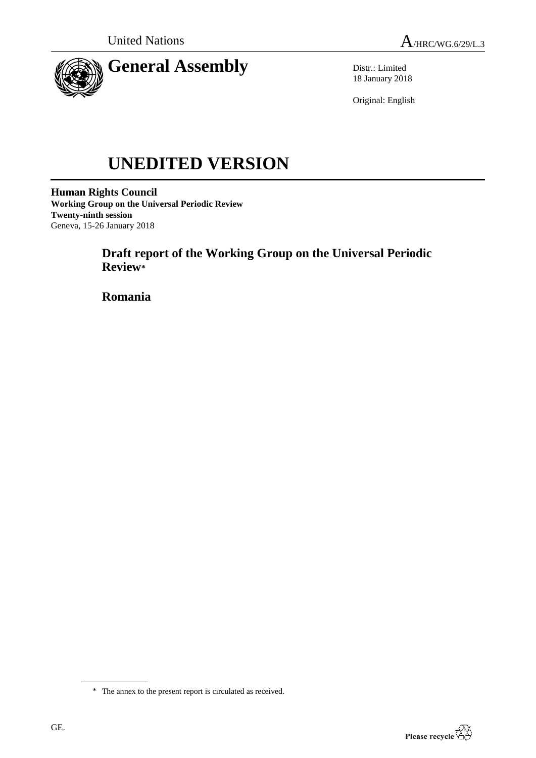

Distr.: Limited 18 January 2018

Original: English

# **UNEDITED VERSION**

**Human Rights Council Working Group on the Universal Periodic Review Twenty-ninth session** Geneva, 15-26 January 2018

> **Draft report of the Working Group on the Universal Periodic Review\***

**Romania**



<sup>\*</sup> The annex to the present report is circulated as received.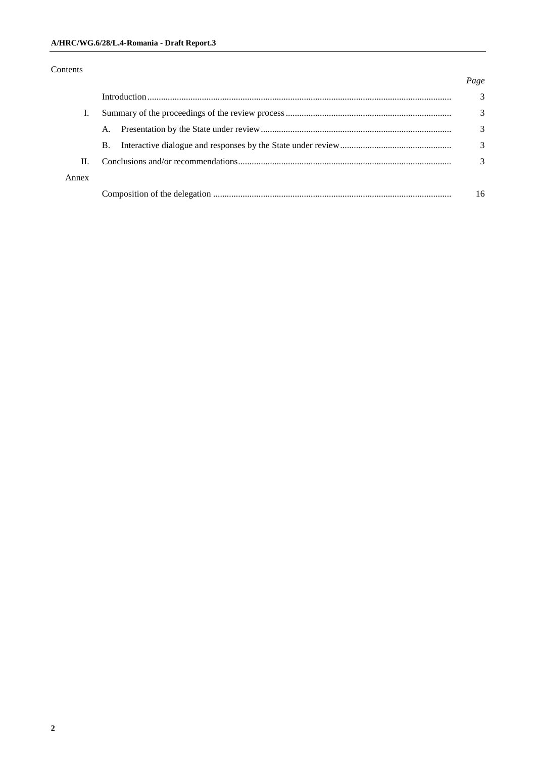### Contents

#### *Page*

|       |           | 3             |
|-------|-----------|---------------|
|       | A.        | $\mathcal{F}$ |
|       | <b>B.</b> | 3             |
| Π.    |           |               |
| Annex |           |               |
|       |           | 16            |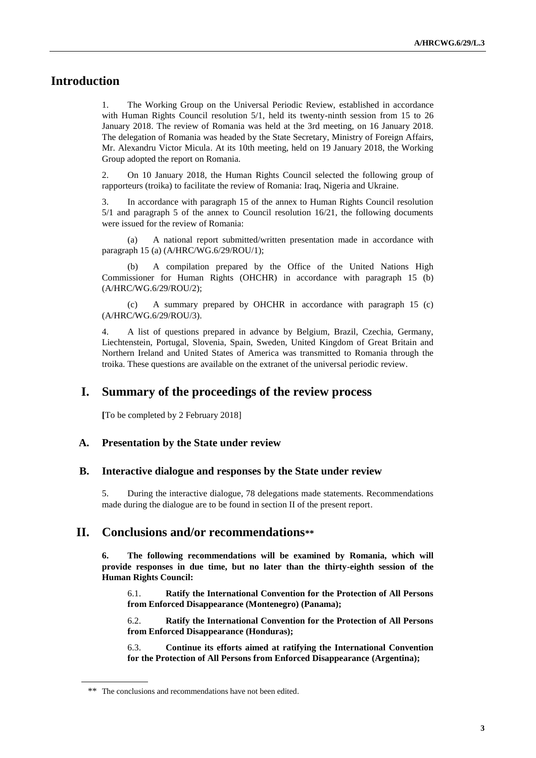# **Introduction**

1. The Working Group on the Universal Periodic Review, established in accordance with Human Rights Council resolution 5/1, held its twenty-ninth session from 15 to 26 January 2018. The review of Romania was held at the 3rd meeting, on 16 January 2018. The delegation of Romania was headed by the State Secretary, Ministry of Foreign Affairs, Mr. Alexandru Victor Micula. At its 10th meeting, held on 19 January 2018, the Working Group adopted the report on Romania.

2. On 10 January 2018, the Human Rights Council selected the following group of rapporteurs (troika) to facilitate the review of Romania: Iraq, Nigeria and Ukraine.

3. In accordance with paragraph 15 of the annex to Human Rights Council resolution 5/1 and paragraph 5 of the annex to Council resolution 16/21, the following documents were issued for the review of Romania:

A national report submitted/written presentation made in accordance with paragraph 15 (a) (A/HRC/WG.6/29/ROU/1);

(b) A compilation prepared by the Office of the United Nations High Commissioner for Human Rights (OHCHR) in accordance with paragraph 15 (b) (A/HRC/WG.6/29/ROU/2);

(c) A summary prepared by OHCHR in accordance with paragraph 15 (c) (A/HRC/WG.6/29/ROU/3).

4. A list of questions prepared in advance by Belgium, Brazil, Czechia, Germany, Liechtenstein, Portugal, Slovenia, Spain, Sweden, United Kingdom of Great Britain and Northern Ireland and United States of America was transmitted to Romania through the troika. These questions are available on the extranet of the universal periodic review.

# **I. Summary of the proceedings of the review process**

**[**To be completed by 2 February 2018]

#### **A. Presentation by the State under review**

#### **B. Interactive dialogue and responses by the State under review**

5. During the interactive dialogue, 78 delegations made statements. Recommendations made during the dialogue are to be found in section II of the present report.

## **II. Conclusions and/or recommendations\*\***

**6. The following recommendations will be examined by Romania, which will provide responses in due time, but no later than the thirty-eighth session of the Human Rights Council:**

6.1. **Ratify the International Convention for the Protection of All Persons from Enforced Disappearance (Montenegro) (Panama);**

6.2. **Ratify the International Convention for the Protection of All Persons from Enforced Disappearance (Honduras);**

6.3. **Continue its efforts aimed at ratifying the International Convention for the Protection of All Persons from Enforced Disappearance (Argentina);**

<sup>\*\*</sup> The conclusions and recommendations have not been edited.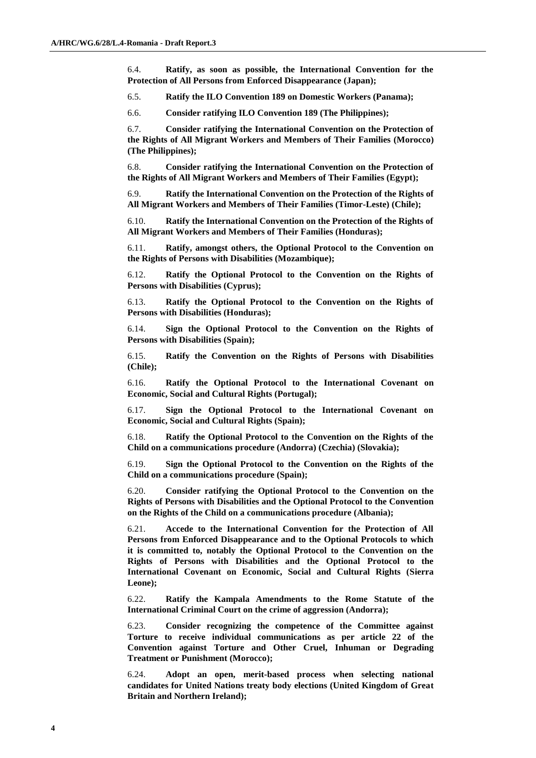6.4. **Ratify, as soon as possible, the International Convention for the Protection of All Persons from Enforced Disappearance (Japan);**

6.5. **Ratify the ILO Convention 189 on Domestic Workers (Panama);**

6.6. **Consider ratifying ILO Convention 189 (The Philippines);**

6.7. **Consider ratifying the International Convention on the Protection of the Rights of All Migrant Workers and Members of Their Families (Morocco) (The Philippines);**

6.8. **Consider ratifying the International Convention on the Protection of the Rights of All Migrant Workers and Members of Their Families (Egypt);**

6.9. **Ratify the International Convention on the Protection of the Rights of All Migrant Workers and Members of Their Families (Timor-Leste) (Chile);**

6.10. **Ratify the International Convention on the Protection of the Rights of All Migrant Workers and Members of Their Families (Honduras);**

6.11. **Ratify, amongst others, the Optional Protocol to the Convention on the Rights of Persons with Disabilities (Mozambique);**

6.12. **Ratify the Optional Protocol to the Convention on the Rights of Persons with Disabilities (Cyprus);**

6.13. **Ratify the Optional Protocol to the Convention on the Rights of Persons with Disabilities (Honduras);**

6.14. **Sign the Optional Protocol to the Convention on the Rights of Persons with Disabilities (Spain);**

6.15. **Ratify the Convention on the Rights of Persons with Disabilities (Chile);**

6.16. **Ratify the Optional Protocol to the International Covenant on Economic, Social and Cultural Rights (Portugal);**

6.17. **Sign the Optional Protocol to the International Covenant on Economic, Social and Cultural Rights (Spain);**

6.18. **Ratify the Optional Protocol to the Convention on the Rights of the Child on a communications procedure (Andorra) (Czechia) (Slovakia);**

6.19. **Sign the Optional Protocol to the Convention on the Rights of the Child on a communications procedure (Spain);**

6.20. **Consider ratifying the Optional Protocol to the Convention on the Rights of Persons with Disabilities and the Optional Protocol to the Convention on the Rights of the Child on a communications procedure (Albania);**

6.21. **Accede to the International Convention for the Protection of All Persons from Enforced Disappearance and to the Optional Protocols to which it is committed to, notably the Optional Protocol to the Convention on the Rights of Persons with Disabilities and the Optional Protocol to the International Covenant on Economic, Social and Cultural Rights (Sierra Leone);**

6.22. **Ratify the Kampala Amendments to the Rome Statute of the International Criminal Court on the crime of aggression (Andorra);**

6.23. **Consider recognizing the competence of the Committee against Torture to receive individual communications as per article 22 of the Convention against Torture and Other Cruel, Inhuman or Degrading Treatment or Punishment (Morocco);**

6.24. **Adopt an open, merit-based process when selecting national candidates for United Nations treaty body elections (United Kingdom of Great Britain and Northern Ireland);**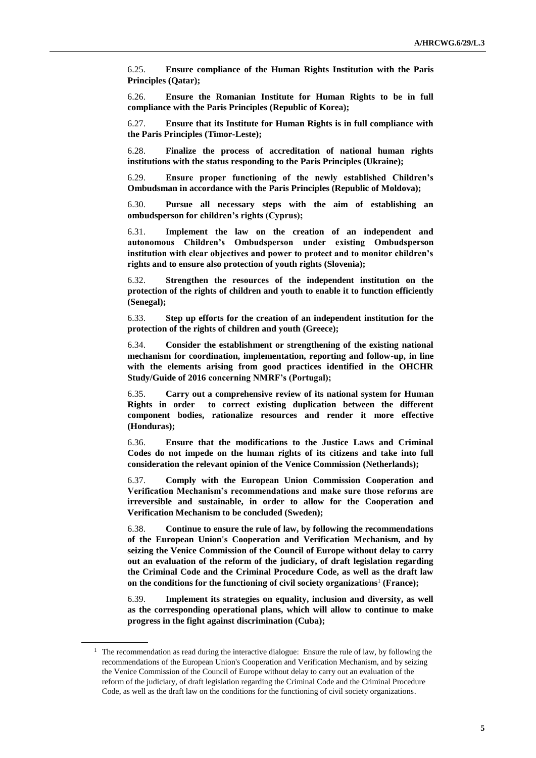6.25. **Ensure compliance of the Human Rights Institution with the Paris Principles (Qatar);**

6.26. **Ensure the Romanian Institute for Human Rights to be in full compliance with the Paris Principles (Republic of Korea);**

6.27. **Ensure that its Institute for Human Rights is in full compliance with the Paris Principles (Timor-Leste);**

6.28. **Finalize the process of accreditation of national human rights institutions with the status responding to the Paris Principles (Ukraine);**

6.29. **Ensure proper functioning of the newly established Children's Ombudsman in accordance with the Paris Principles (Republic of Moldova);**

6.30. **Pursue all necessary steps with the aim of establishing an ombudsperson for children's rights (Cyprus);**

6.31. **Implement the law on the creation of an independent and autonomous Children's Ombudsperson under existing Ombudsperson institution with clear objectives and power to protect and to monitor children's rights and to ensure also protection of youth rights (Slovenia);**

6.32. **Strengthen the resources of the independent institution on the protection of the rights of children and youth to enable it to function efficiently (Senegal);**

6.33. **Step up efforts for the creation of an independent institution for the protection of the rights of children and youth (Greece);**

6.34. **Consider the establishment or strengthening of the existing national mechanism for coordination, implementation, reporting and follow-up, in line with the elements arising from good practices identified in the OHCHR Study/Guide of 2016 concerning NMRF's (Portugal);**

6.35. **Carry out a comprehensive review of its national system for Human Rights in order to correct existing duplication between the different component bodies, rationalize resources and render it more effective (Honduras);**

6.36. **Ensure that the modifications to the Justice Laws and Criminal Codes do not impede on the human rights of its citizens and take into full consideration the relevant opinion of the Venice Commission (Netherlands);**

6.37. **Comply with the European Union Commission Cooperation and Verification Mechanism's recommendations and make sure those reforms are irreversible and sustainable, in order to allow for the Cooperation and Verification Mechanism to be concluded (Sweden);**

6.38. **Continue to ensure the rule of law, by following the recommendations of the European Union's Cooperation and Verification Mechanism, and by seizing the Venice Commission of the Council of Europe without delay to carry out an evaluation of the reform of the judiciary, of draft legislation regarding the Criminal Code and the Criminal Procedure Code, as well as the draft law on the conditions for the functioning of civil society organizations**<sup>1</sup> **(France);**

6.39. **Implement its strategies on equality, inclusion and diversity, as well as the corresponding operational plans, which will allow to continue to make progress in the fight against discrimination (Cuba);**

 $1$  The recommendation as read during the interactive dialogue: Ensure the rule of law, by following the recommendations of the European Union's Cooperation and Verification Mechanism, and by seizing the Venice Commission of the Council of Europe without delay to carry out an evaluation of the reform of the judiciary, of draft legislation regarding the Criminal Code and the Criminal Procedure Code, as well as the draft law on the conditions for the functioning of civil society organizations.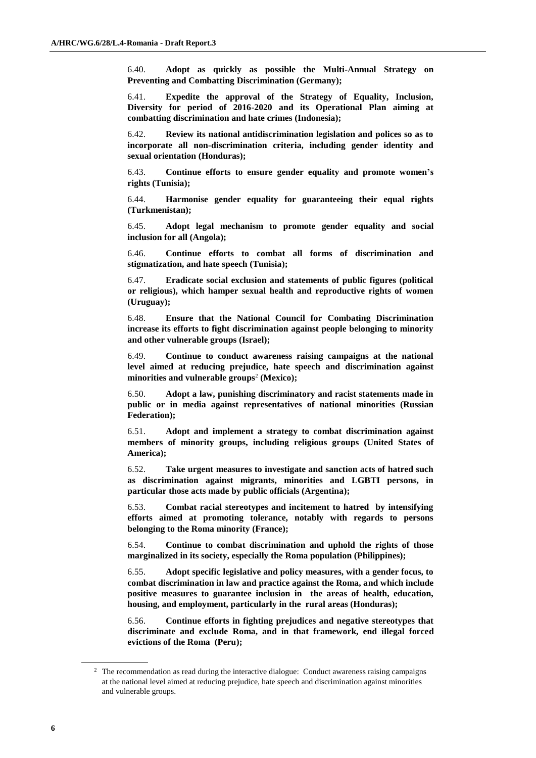6.40. **Adopt as quickly as possible the Multi-Annual Strategy on Preventing and Combatting Discrimination (Germany);**

6.41. **Expedite the approval of the Strategy of Equality, Inclusion, Diversity for period of 2016-2020 and its Operational Plan aiming at combatting discrimination and hate crimes (Indonesia);**

6.42. **Review its national antidiscrimination legislation and polices so as to incorporate all non-discrimination criteria, including gender identity and sexual orientation (Honduras);**

6.43. **Continue efforts to ensure gender equality and promote women's rights (Tunisia);**

6.44. **Harmonise gender equality for guaranteeing their equal rights (Turkmenistan);**

6.45. **Adopt legal mechanism to promote gender equality and social inclusion for all (Angola);**

6.46. **Continue efforts to combat all forms of discrimination and stigmatization, and hate speech (Tunisia);**

6.47. **Eradicate social exclusion and statements of public figures (political or religious), which hamper sexual health and reproductive rights of women (Uruguay);**

6.48. **Ensure that the National Council for Combating Discrimination increase its efforts to fight discrimination against people belonging to minority and other vulnerable groups (Israel);**

6.49. **Continue to conduct awareness raising campaigns at the national level aimed at reducing prejudice, hate speech and discrimination against minorities and vulnerable groups**<sup>2</sup> **(Mexico);**

6.50. **Adopt a law, punishing discriminatory and racist statements made in public or in media against representatives of national minorities (Russian Federation);**

6.51. **Adopt and implement a strategy to combat discrimination against members of minority groups, including religious groups (United States of America);**

6.52. **Take urgent measures to investigate and sanction acts of hatred such as discrimination against migrants, minorities and LGBTI persons, in particular those acts made by public officials (Argentina);**

6.53. **Combat racial stereotypes and incitement to hatred by intensifying efforts aimed at promoting tolerance, notably with regards to persons belonging to the Roma minority (France);**

6.54. **Continue to combat discrimination and uphold the rights of those marginalized in its society, especially the Roma population (Philippines);**

6.55. **Adopt specific legislative and policy measures, with a gender focus, to combat discrimination in law and practice against the Roma, and which include positive measures to guarantee inclusion in the areas of health, education, housing, and employment, particularly in the rural areas (Honduras);**

6.56. **Continue efforts in fighting prejudices and negative stereotypes that discriminate and exclude Roma, and in that framework, end illegal forced evictions of the Roma (Peru);**

<sup>&</sup>lt;sup>2</sup> The recommendation as read during the interactive dialogue: Conduct awareness raising campaigns at the national level aimed at reducing prejudice, hate speech and discrimination against minorities and vulnerable groups.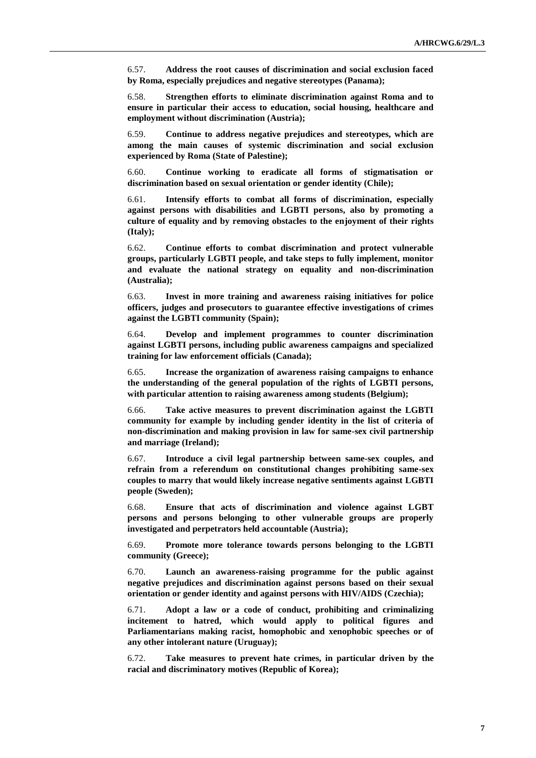6.57. **Address the root causes of discrimination and social exclusion faced by Roma, especially prejudices and negative stereotypes (Panama);**

6.58. **Strengthen efforts to eliminate discrimination against Roma and to ensure in particular their access to education, social housing, healthcare and employment without discrimination (Austria);**

6.59. **Continue to address negative prejudices and stereotypes, which are among the main causes of systemic discrimination and social exclusion experienced by Roma (State of Palestine);**

6.60. **Continue working to eradicate all forms of stigmatisation or discrimination based on sexual orientation or gender identity (Chile);**

6.61. **Intensify efforts to combat all forms of discrimination, especially against persons with disabilities and LGBTI persons, also by promoting a culture of equality and by removing obstacles to the enjoyment of their rights (Italy);**

6.62. **Continue efforts to combat discrimination and protect vulnerable groups, particularly LGBTI people, and take steps to fully implement, monitor and evaluate the national strategy on equality and non-discrimination (Australia);**

6.63. **Invest in more training and awareness raising initiatives for police officers, judges and prosecutors to guarantee effective investigations of crimes against the LGBTI community (Spain);**

6.64. **Develop and implement programmes to counter discrimination against LGBTI persons, including public awareness campaigns and specialized training for law enforcement officials (Canada);**

6.65. **Increase the organization of awareness raising campaigns to enhance the understanding of the general population of the rights of LGBTI persons, with particular attention to raising awareness among students (Belgium);**

6.66. **Take active measures to prevent discrimination against the LGBTI community for example by including gender identity in the list of criteria of non-discrimination and making provision in law for same-sex civil partnership and marriage (Ireland);**

6.67. **Introduce a civil legal partnership between same-sex couples, and refrain from a referendum on constitutional changes prohibiting same-sex couples to marry that would likely increase negative sentiments against LGBTI people (Sweden);**

6.68. **Ensure that acts of discrimination and violence against LGBT persons and persons belonging to other vulnerable groups are properly investigated and perpetrators held accountable (Austria);**

6.69. **Promote more tolerance towards persons belonging to the LGBTI community (Greece);**

6.70. **Launch an awareness-raising programme for the public against negative prejudices and discrimination against persons based on their sexual orientation or gender identity and against persons with HIV/AIDS (Czechia);**

6.71. **Adopt a law or a code of conduct, prohibiting and criminalizing incitement to hatred, which would apply to political figures and Parliamentarians making racist, homophobic and xenophobic speeches or of any other intolerant nature (Uruguay);**

6.72. **Take measures to prevent hate crimes, in particular driven by the racial and discriminatory motives (Republic of Korea);**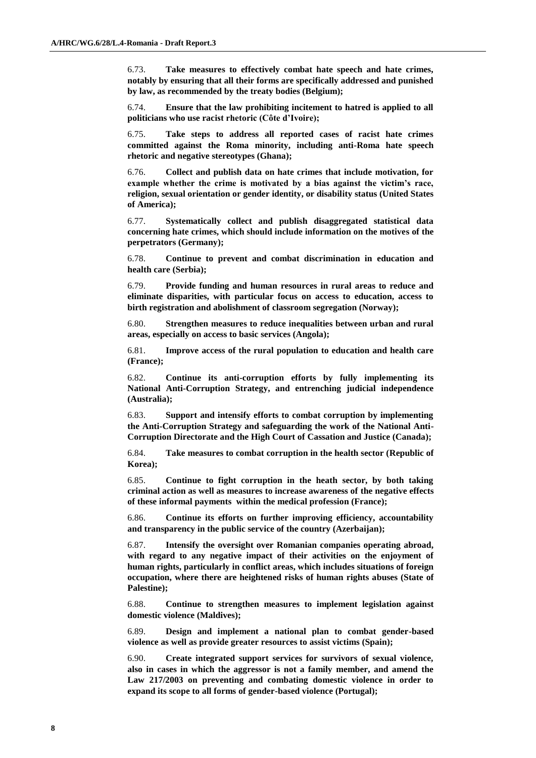6.73. **Take measures to effectively combat hate speech and hate crimes, notably by ensuring that all their forms are specifically addressed and punished by law, as recommended by the treaty bodies (Belgium);**

6.74. **Ensure that the law prohibiting incitement to hatred is applied to all politicians who use racist rhetoric (Côte d'Ivoire);**

6.75. **Take steps to address all reported cases of racist hate crimes committed against the Roma minority, including anti-Roma hate speech rhetoric and negative stereotypes (Ghana);**

6.76. **Collect and publish data on hate crimes that include motivation, for example whether the crime is motivated by a bias against the victim's race, religion, sexual orientation or gender identity, or disability status (United States of America);**

6.77. **Systematically collect and publish disaggregated statistical data concerning hate crimes, which should include information on the motives of the perpetrators (Germany);**

6.78. **Continue to prevent and combat discrimination in education and health care (Serbia);**

6.79. **Provide funding and human resources in rural areas to reduce and eliminate disparities, with particular focus on access to education, access to birth registration and abolishment of classroom segregation (Norway);**

6.80. **Strengthen measures to reduce inequalities between urban and rural areas, especially on access to basic services (Angola);**

6.81. **Improve access of the rural population to education and health care (France);**

6.82. **Continue its anti-corruption efforts by fully implementing its National Anti-Corruption Strategy, and entrenching judicial independence (Australia);**

6.83. **Support and intensify efforts to combat corruption by implementing the Anti-Corruption Strategy and safeguarding the work of the National Anti-Corruption Directorate and the High Court of Cassation and Justice (Canada);**

6.84. **Take measures to combat corruption in the health sector (Republic of Korea);**

6.85. **Continue to fight corruption in the heath sector, by both taking criminal action as well as measures to increase awareness of the negative effects of these informal payments within the medical profession (France);**

6.86. **Continue its efforts on further improving efficiency, accountability and transparency in the public service of the country (Azerbaijan);**

6.87. **Intensify the oversight over Romanian companies operating abroad, with regard to any negative impact of their activities on the enjoyment of human rights, particularly in conflict areas, which includes situations of foreign occupation, where there are heightened risks of human rights abuses (State of Palestine);**

6.88. **Continue to strengthen measures to implement legislation against domestic violence (Maldives);**

6.89. **Design and implement a national plan to combat gender-based violence as well as provide greater resources to assist victims (Spain);**

6.90. **Create integrated support services for survivors of sexual violence, also in cases in which the aggressor is not a family member, and amend the Law 217/2003 on preventing and combating domestic violence in order to expand its scope to all forms of gender-based violence (Portugal);**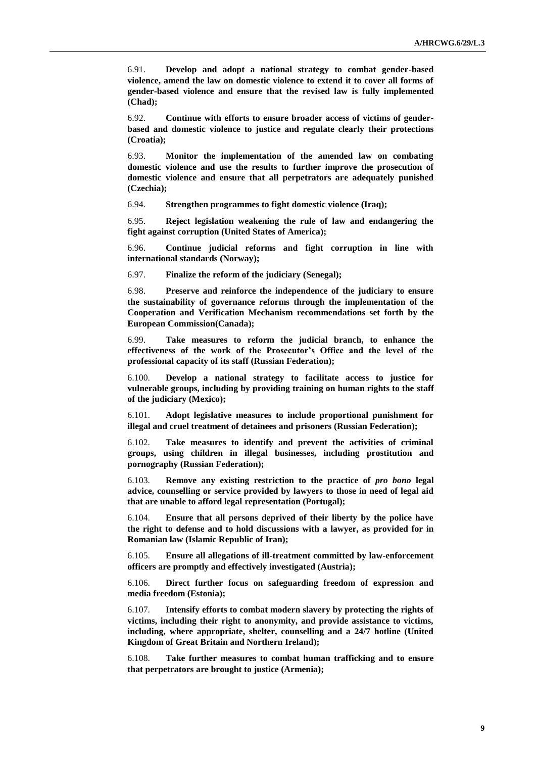6.91. **Develop and adopt a national strategy to combat gender-based violence, amend the law on domestic violence to extend it to cover all forms of gender-based violence and ensure that the revised law is fully implemented (Chad);**

6.92. **Continue with efforts to ensure broader access of victims of genderbased and domestic violence to justice and regulate clearly their protections (Croatia);**

6.93. **Monitor the implementation of the amended law on combating domestic violence and use the results to further improve the prosecution of domestic violence and ensure that all perpetrators are adequately punished (Czechia);**

6.94. **Strengthen programmes to fight domestic violence (Iraq);**

6.95. **Reject legislation weakening the rule of law and endangering the fight against corruption (United States of America);**

6.96. **Continue judicial reforms and fight corruption in line with international standards (Norway);**

6.97. **Finalize the reform of the judiciary (Senegal);**

6.98. **Preserve and reinforce the independence of the judiciary to ensure the sustainability of governance reforms through the implementation of the Cooperation and Verification Mechanism recommendations set forth by the European Commission(Canada);**

6.99. **Take measures to reform the judicial branch, to enhance the effectiveness of the work of the Prosecutor's Office and the level of the professional capacity of its staff (Russian Federation);**

6.100. **Develop a national strategy to facilitate access to justice for vulnerable groups, including by providing training on human rights to the staff of the judiciary (Mexico);**

6.101. **Adopt legislative measures to include proportional punishment for illegal and cruel treatment of detainees and prisoners (Russian Federation);**

6.102. **Take measures to identify and prevent the activities of criminal groups, using children in illegal businesses, including prostitution and pornography (Russian Federation);**

6.103. **Remove any existing restriction to the practice of** *pro bono* **legal advice, counselling or service provided by lawyers to those in need of legal aid that are unable to afford legal representation (Portugal);**

6.104. **Ensure that all persons deprived of their liberty by the police have the right to defense and to hold discussions with a lawyer, as provided for in Romanian law (Islamic Republic of Iran);**

6.105. **Ensure all allegations of ill-treatment committed by law-enforcement officers are promptly and effectively investigated (Austria);**

6.106. **Direct further focus on safeguarding freedom of expression and media freedom (Estonia);**

6.107. **Intensify efforts to combat modern slavery by protecting the rights of victims, including their right to anonymity, and provide assistance to victims, including, where appropriate, shelter, counselling and a 24/7 hotline (United Kingdom of Great Britain and Northern Ireland);**

6.108. **Take further measures to combat human trafficking and to ensure that perpetrators are brought to justice (Armenia);**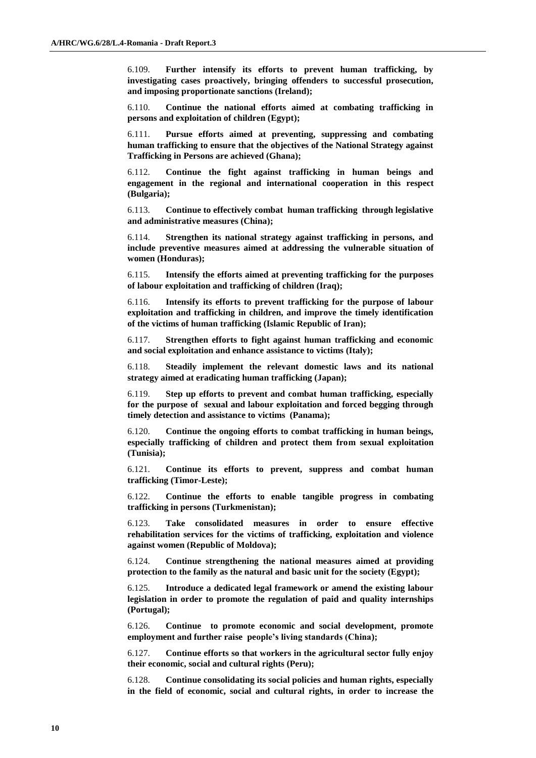6.109. **Further intensify its efforts to prevent human trafficking, by investigating cases proactively, bringing offenders to successful prosecution, and imposing proportionate sanctions (Ireland);**

6.110. **Continue the national efforts aimed at combating trafficking in persons and exploitation of children (Egypt);**

6.111. **Pursue efforts aimed at preventing, suppressing and combating human trafficking to ensure that the objectives of the National Strategy against Trafficking in Persons are achieved (Ghana);**

6.112. **Continue the fight against trafficking in human beings and engagement in the regional and international cooperation in this respect (Bulgaria);**

6.113. **Continue to effectively combat human trafficking through legislative and administrative measures (China);**

6.114. **Strengthen its national strategy against trafficking in persons, and include preventive measures aimed at addressing the vulnerable situation of women (Honduras);**

6.115. **Intensify the efforts aimed at preventing trafficking for the purposes of labour exploitation and trafficking of children (Iraq);**

6.116. **Intensify its efforts to prevent trafficking for the purpose of labour exploitation and trafficking in children, and improve the timely identification of the victims of human trafficking (Islamic Republic of Iran);**

6.117. **Strengthen efforts to fight against human trafficking and economic and social exploitation and enhance assistance to victims (Italy);**

6.118. **Steadily implement the relevant domestic laws and its national strategy aimed at eradicating human trafficking (Japan);**

6.119. **Step up efforts to prevent and combat human trafficking, especially for the purpose of sexual and labour exploitation and forced begging through timely detection and assistance to victims (Panama);**

6.120. **Continue the ongoing efforts to combat trafficking in human beings, especially trafficking of children and protect them from sexual exploitation (Tunisia);**

6.121. **Continue its efforts to prevent, suppress and combat human trafficking (Timor-Leste);**

6.122. **Continue the efforts to enable tangible progress in combating trafficking in persons (Turkmenistan);**

6.123. **Take consolidated measures in order to ensure effective rehabilitation services for the victims of trafficking, exploitation and violence against women (Republic of Moldova);**

6.124. **Continue strengthening the national measures aimed at providing protection to the family as the natural and basic unit for the society (Egypt);**

6.125. **Introduce a dedicated legal framework or amend the existing labour legislation in order to promote the regulation of paid and quality internships (Portugal);**

6.126. **Continue to promote economic and social development, promote employment and further raise people's living standards (China);**

6.127. **Continue efforts so that workers in the agricultural sector fully enjoy their economic, social and cultural rights (Peru);**

6.128. **Continue consolidating its social policies and human rights, especially in the field of economic, social and cultural rights, in order to increase the**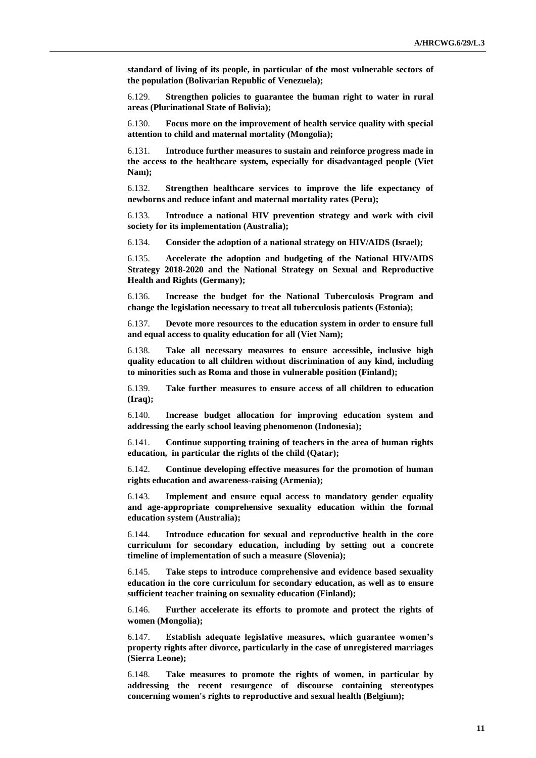**standard of living of its people, in particular of the most vulnerable sectors of the population (Bolivarian Republic of Venezuela);**

6.129. **Strengthen policies to guarantee the human right to water in rural areas (Plurinational State of Bolivia);**

6.130. **Focus more on the improvement of health service quality with special attention to child and maternal mortality (Mongolia);**

6.131. **Introduce further measures to sustain and reinforce progress made in the access to the healthcare system, especially for disadvantaged people (Viet Nam);**

6.132. **Strengthen healthcare services to improve the life expectancy of newborns and reduce infant and maternal mortality rates (Peru);**

6.133. **Introduce a national HIV prevention strategy and work with civil society for its implementation (Australia);**

6.134. **Consider the adoption of a national strategy on HIV/AIDS (Israel);**

6.135. **Accelerate the adoption and budgeting of the National HIV/AIDS Strategy 2018-2020 and the National Strategy on Sexual and Reproductive Health and Rights (Germany);**

6.136. **Increase the budget for the National Tuberculosis Program and change the legislation necessary to treat all tuberculosis patients (Estonia);**

6.137. **Devote more resources to the education system in order to ensure full and equal access to quality education for all (Viet Nam);**

6.138. **Take all necessary measures to ensure accessible, inclusive high quality education to all children without discrimination of any kind, including to minorities such as Roma and those in vulnerable position (Finland);**

6.139. **Take further measures to ensure access of all children to education (Iraq);**

6.140. **Increase budget allocation for improving education system and addressing the early school leaving phenomenon (Indonesia);**

6.141. **Continue supporting training of teachers in the area of human rights education, in particular the rights of the child (Qatar);**

6.142. **Continue developing effective measures for the promotion of human rights education and awareness-raising (Armenia);**

6.143. **Implement and ensure equal access to mandatory gender equality and age-appropriate comprehensive sexuality education within the formal education system (Australia);**

6.144. **Introduce education for sexual and reproductive health in the core curriculum for secondary education, including by setting out a concrete timeline of implementation of such a measure (Slovenia);**

6.145. **Take steps to introduce comprehensive and evidence based sexuality education in the core curriculum for secondary education, as well as to ensure sufficient teacher training on sexuality education (Finland);**

6.146. **Further accelerate its efforts to promote and protect the rights of women (Mongolia);**

6.147. **Establish adequate legislative measures, which guarantee women's property rights after divorce, particularly in the case of unregistered marriages (Sierra Leone);**

6.148. **Take measures to promote the rights of women, in particular by addressing the recent resurgence of discourse containing stereotypes concerning women's rights to reproductive and sexual health (Belgium);**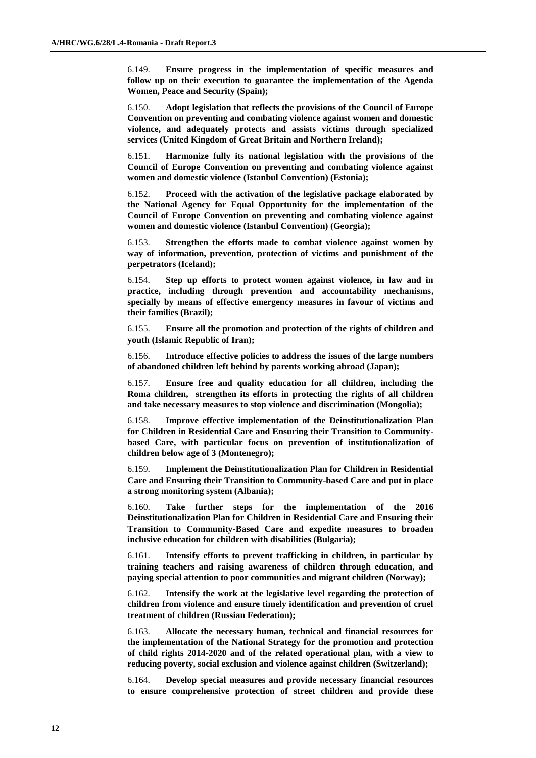6.149. **Ensure progress in the implementation of specific measures and follow up on their execution to guarantee the implementation of the Agenda Women, Peace and Security (Spain);**

6.150. **Adopt legislation that reflects the provisions of the Council of Europe Convention on preventing and combating violence against women and domestic violence, and adequately protects and assists victims through specialized services (United Kingdom of Great Britain and Northern Ireland);**

6.151. **Harmonize fully its national legislation with the provisions of the Council of Europe Convention on preventing and combating violence against women and domestic violence (Istanbul Convention) (Estonia);**

6.152. **Proceed with the activation of the legislative package elaborated by the National Agency for Equal Opportunity for the implementation of the Council of Europe Convention on preventing and combating violence against women and domestic violence (Istanbul Convention) (Georgia);**

6.153. **Strengthen the efforts made to combat violence against women by way of information, prevention, protection of victims and punishment of the perpetrators (Iceland);**

6.154. **Step up efforts to protect women against violence, in law and in practice, including through prevention and accountability mechanisms, specially by means of effective emergency measures in favour of victims and their families (Brazil);**

6.155. **Ensure all the promotion and protection of the rights of children and youth (Islamic Republic of Iran);**

6.156. **Introduce effective policies to address the issues of the large numbers of abandoned children left behind by parents working abroad (Japan);**

6.157. **Ensure free and quality education for all children, including the Roma children, strengthen its efforts in protecting the rights of all children and take necessary measures to stop violence and discrimination (Mongolia);**

6.158. **Improve effective implementation of the Deinstitutionalization Plan for Children in Residential Care and Ensuring their Transition to Communitybased Care, with particular focus on prevention of institutionalization of children below age of 3 (Montenegro);**

6.159. **Implement the Deinstitutionalization Plan for Children in Residential Care and Ensuring their Transition to Community-based Care and put in place a strong monitoring system (Albania);**

6.160. **Take further steps for the implementation of the 2016 Deinstitutionalization Plan for Children in Residential Care and Ensuring their Transition to Community-Based Care and expedite measures to broaden inclusive education for children with disabilities (Bulgaria);**

6.161. **Intensify efforts to prevent trafficking in children, in particular by training teachers and raising awareness of children through education, and paying special attention to poor communities and migrant children (Norway);**

6.162. **Intensify the work at the legislative level regarding the protection of children from violence and ensure timely identification and prevention of cruel treatment of children (Russian Federation);**

6.163. **Allocate the necessary human, technical and financial resources for the implementation of the National Strategy for the promotion and protection of child rights 2014-2020 and of the related operational plan, with a view to reducing poverty, social exclusion and violence against children (Switzerland);**

6.164. **Develop special measures and provide necessary financial resources to ensure comprehensive protection of street children and provide these**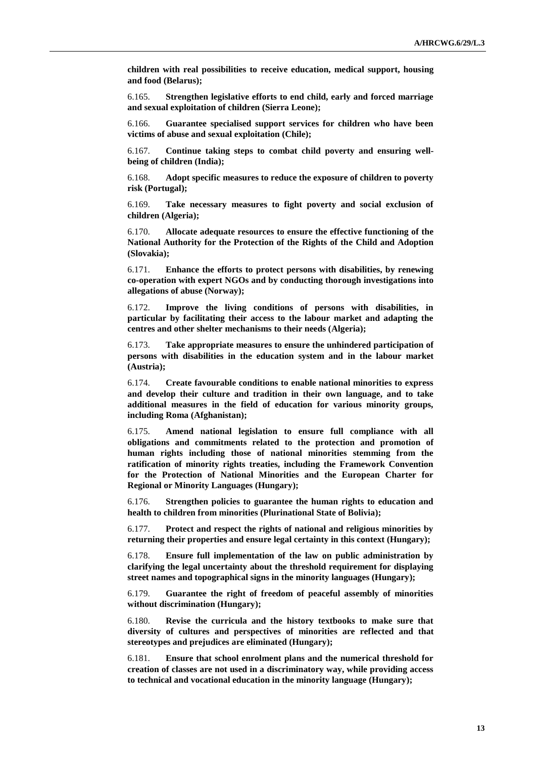**children with real possibilities to receive education, medical support, housing and food (Belarus);**

6.165. **Strengthen legislative efforts to end child, early and forced marriage and sexual exploitation of children (Sierra Leone);**

6.166. **Guarantee specialised support services for children who have been victims of abuse and sexual exploitation (Chile);**

6.167. **Continue taking steps to combat child poverty and ensuring wellbeing of children (India);**

6.168. **Adopt specific measures to reduce the exposure of children to poverty risk (Portugal);**

6.169. **Take necessary measures to fight poverty and social exclusion of children (Algeria);**

6.170. **Allocate adequate resources to ensure the effective functioning of the National Authority for the Protection of the Rights of the Child and Adoption (Slovakia);**

6.171. **Enhance the efforts to protect persons with disabilities, by renewing co-operation with expert NGOs and by conducting thorough investigations into allegations of abuse (Norway);**

6.172. **Improve the living conditions of persons with disabilities, in particular by facilitating their access to the labour market and adapting the centres and other shelter mechanisms to their needs (Algeria);**

6.173. **Take appropriate measures to ensure the unhindered participation of persons with disabilities in the education system and in the labour market (Austria);**

6.174. **Create favourable conditions to enable national minorities to express and develop their culture and tradition in their own language, and to take additional measures in the field of education for various minority groups, including Roma (Afghanistan);**

6.175. **Amend national legislation to ensure full compliance with all obligations and commitments related to the protection and promotion of human rights including those of national minorities stemming from the ratification of minority rights treaties, including the Framework Convention for the Protection of National Minorities and the European Charter for Regional or Minority Languages (Hungary);**

6.176. **Strengthen policies to guarantee the human rights to education and health to children from minorities (Plurinational State of Bolivia);**

6.177. **Protect and respect the rights of national and religious minorities by returning their properties and ensure legal certainty in this context (Hungary);**

6.178. **Ensure full implementation of the law on public administration by clarifying the legal uncertainty about the threshold requirement for displaying street names and topographical signs in the minority languages (Hungary);**

6.179. **Guarantee the right of freedom of peaceful assembly of minorities without discrimination (Hungary);**

6.180. **Revise the curricula and the history textbooks to make sure that diversity of cultures and perspectives of minorities are reflected and that stereotypes and prejudices are eliminated (Hungary);**

6.181. **Ensure that school enrolment plans and the numerical threshold for creation of classes are not used in a discriminatory way, while providing access to technical and vocational education in the minority language (Hungary);**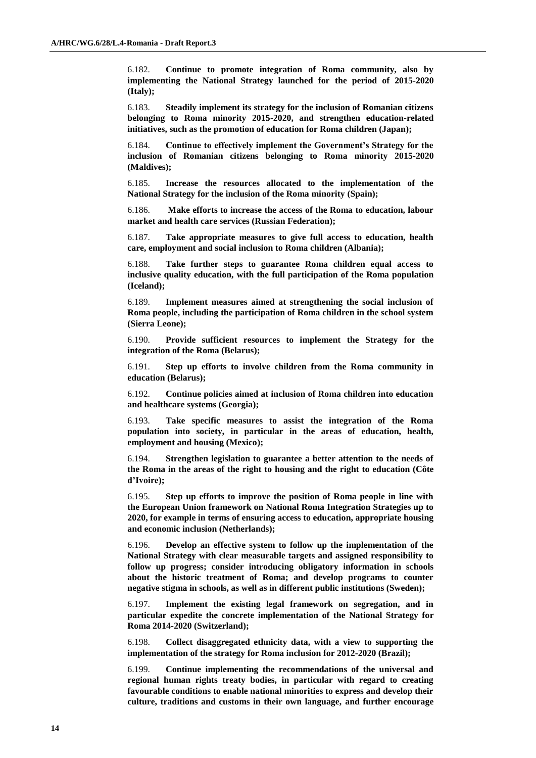6.182. **Continue to promote integration of Roma community, also by implementing the National Strategy launched for the period of 2015-2020 (Italy);**

6.183. **Steadily implement its strategy for the inclusion of Romanian citizens belonging to Roma minority 2015-2020, and strengthen education-related initiatives, such as the promotion of education for Roma children (Japan);**

6.184. **Continue to effectively implement the Government's Strategy for the inclusion of Romanian citizens belonging to Roma minority 2015-2020 (Maldives);**

6.185. **Increase the resources allocated to the implementation of the National Strategy for the inclusion of the Roma minority (Spain);**

6.186. **Make efforts to increase the access of the Roma to education, labour market and health care services (Russian Federation);**

6.187. **Take appropriate measures to give full access to education, health care, employment and social inclusion to Roma children (Albania);**

6.188. **Take further steps to guarantee Roma children equal access to inclusive quality education, with the full participation of the Roma population (Iceland);**

6.189. **Implement measures aimed at strengthening the social inclusion of Roma people, including the participation of Roma children in the school system (Sierra Leone);**

6.190. **Provide sufficient resources to implement the Strategy for the integration of the Roma (Belarus);**

6.191. **Step up efforts to involve children from the Roma community in education (Belarus);**

6.192. **Continue policies aimed at inclusion of Roma children into education and healthcare systems (Georgia);**

6.193. **Take specific measures to assist the integration of the Roma population into society, in particular in the areas of education, health, employment and housing (Mexico);**

6.194. **Strengthen legislation to guarantee a better attention to the needs of the Roma in the areas of the right to housing and the right to education (Côte d'Ivoire);**

6.195. **Step up efforts to improve the position of Roma people in line with the European Union framework on National Roma Integration Strategies up to 2020, for example in terms of ensuring access to education, appropriate housing and economic inclusion (Netherlands);**

6.196. **Develop an effective system to follow up the implementation of the National Strategy with clear measurable targets and assigned responsibility to follow up progress; consider introducing obligatory information in schools about the historic treatment of Roma; and develop programs to counter negative stigma in schools, as well as in different public institutions (Sweden);**

6.197. **Implement the existing legal framework on segregation, and in particular expedite the concrete implementation of the National Strategy for Roma 2014-2020 (Switzerland);**

6.198. **Collect disaggregated ethnicity data, with a view to supporting the implementation of the strategy for Roma inclusion for 2012-2020 (Brazil);**

6.199. **Continue implementing the recommendations of the universal and regional human rights treaty bodies, in particular with regard to creating favourable conditions to enable national minorities to express and develop their culture, traditions and customs in their own language, and further encourage**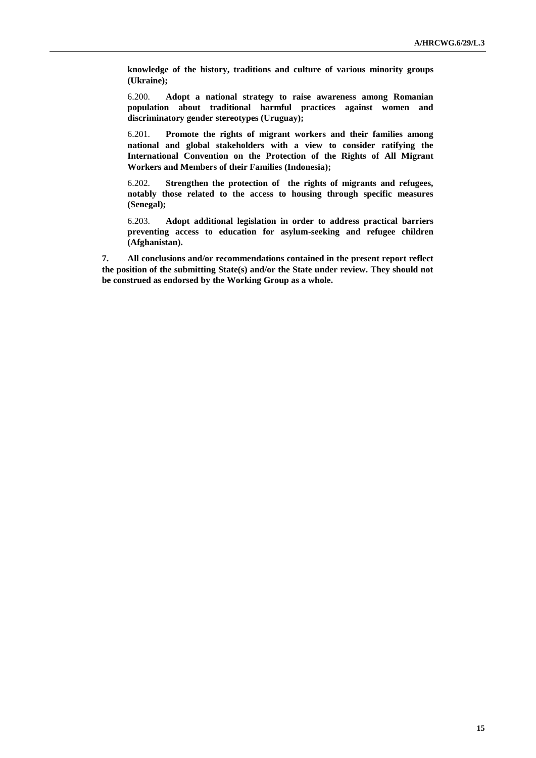**knowledge of the history, traditions and culture of various minority groups (Ukraine);**

6.200. **Adopt a national strategy to raise awareness among Romanian population about traditional harmful practices against women and discriminatory gender stereotypes (Uruguay);**

6.201. **Promote the rights of migrant workers and their families among national and global stakeholders with a view to consider ratifying the International Convention on the Protection of the Rights of All Migrant Workers and Members of their Families (Indonesia);**

6.202. **Strengthen the protection of the rights of migrants and refugees, notably those related to the access to housing through specific measures (Senegal);**

6.203. **Adopt additional legislation in order to address practical barriers preventing access to education for asylum-seeking and refugee children (Afghanistan).**

**7. All conclusions and/or recommendations contained in the present report reflect the position of the submitting State(s) and/or the State under review. They should not be construed as endorsed by the Working Group as a whole.**